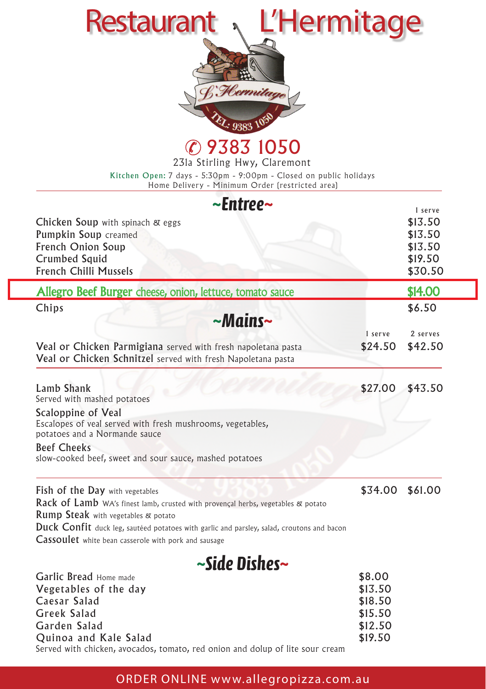| L'Hermitage<br><b>Restaurant</b><br>9383 1050<br>231a Stirling Hwy, Claremont<br>Kitchen Open: 7 days - 5:30pm - 9:00pm - Closed on public holidays<br>Home Delivery - Minimum Order (restricted area) |                 |                    |  |
|--------------------------------------------------------------------------------------------------------------------------------------------------------------------------------------------------------|-----------------|--------------------|--|
| $\sim$ Entree $\sim$                                                                                                                                                                                   |                 | 1 serve            |  |
| Chicken Soup with spinach & eggs                                                                                                                                                                       |                 | \$13.50            |  |
| Pumpkin Soup creamed                                                                                                                                                                                   |                 | \$13.50            |  |
| French Onion Soup<br>Crumbed Squid                                                                                                                                                                     |                 | \$13.50<br>\$19.50 |  |
| French Chilli Mussels                                                                                                                                                                                  |                 | \$30.50            |  |
| Allegro Beef Burger cheese, onion, lettuce, tomato sauce                                                                                                                                               |                 | \$14.00            |  |
| Chips                                                                                                                                                                                                  |                 | \$6.50             |  |
| $-Mains$ ~                                                                                                                                                                                             |                 |                    |  |
|                                                                                                                                                                                                        | 1 serve         | 2 serves           |  |
| Veal or Chicken Parmigiana served with fresh napoletana pasta<br>Veal or Chicken Schnitzel served with fresh Napoletana pasta                                                                          | \$24.50         | \$42.50            |  |
|                                                                                                                                                                                                        |                 |                    |  |
| Lamb Shank<br>Served with mashed potatoes                                                                                                                                                              | \$27.00         | \$43.50            |  |
| Scaloppine of Veal                                                                                                                                                                                     |                 |                    |  |
| Escalopes of veal served with fresh mushrooms, vegetables,<br>potatoes and a Normande sauce                                                                                                            |                 |                    |  |
| <b>Beef Cheeks</b>                                                                                                                                                                                     |                 |                    |  |
| slow-cooked beef, sweet and sour sauce, mashed potatoes                                                                                                                                                |                 |                    |  |
| <b>Fish of the Day</b> with vegetables                                                                                                                                                                 | \$34.00 \$61.00 |                    |  |
| Rack of Lamb WA's finest lamb, crusted with provençal herbs, vegetables & potato                                                                                                                       |                 |                    |  |
| <b>Rump Steak</b> with vegetables & potato                                                                                                                                                             |                 |                    |  |
| Duck Confit duck leg, sautéed potatoes with garlic and parsley, salad, croutons and bacon                                                                                                              |                 |                    |  |
| Cassoulet white bean casserole with pork and sausage                                                                                                                                                   |                 |                    |  |
| ~Side Dishes~                                                                                                                                                                                          |                 |                    |  |
| Garlic Bread Home made                                                                                                                                                                                 | \$8.00          |                    |  |

| <b>Garlic Bread Home made</b>                                                 | \$8.00  |
|-------------------------------------------------------------------------------|---------|
| Vegetables of the day                                                         | \$13.50 |
| Caesar Salad                                                                  | \$18.50 |
| Greek Salad                                                                   | \$15.50 |
| Garden Salad                                                                  | \$12.50 |
| Quinoa and Kale Salad                                                         | \$19.50 |
| Served with chicken, avocados, tomato, red onion and dolup of lite sour cream |         |

## ORDER ONLINE www.allegropizza.com.au